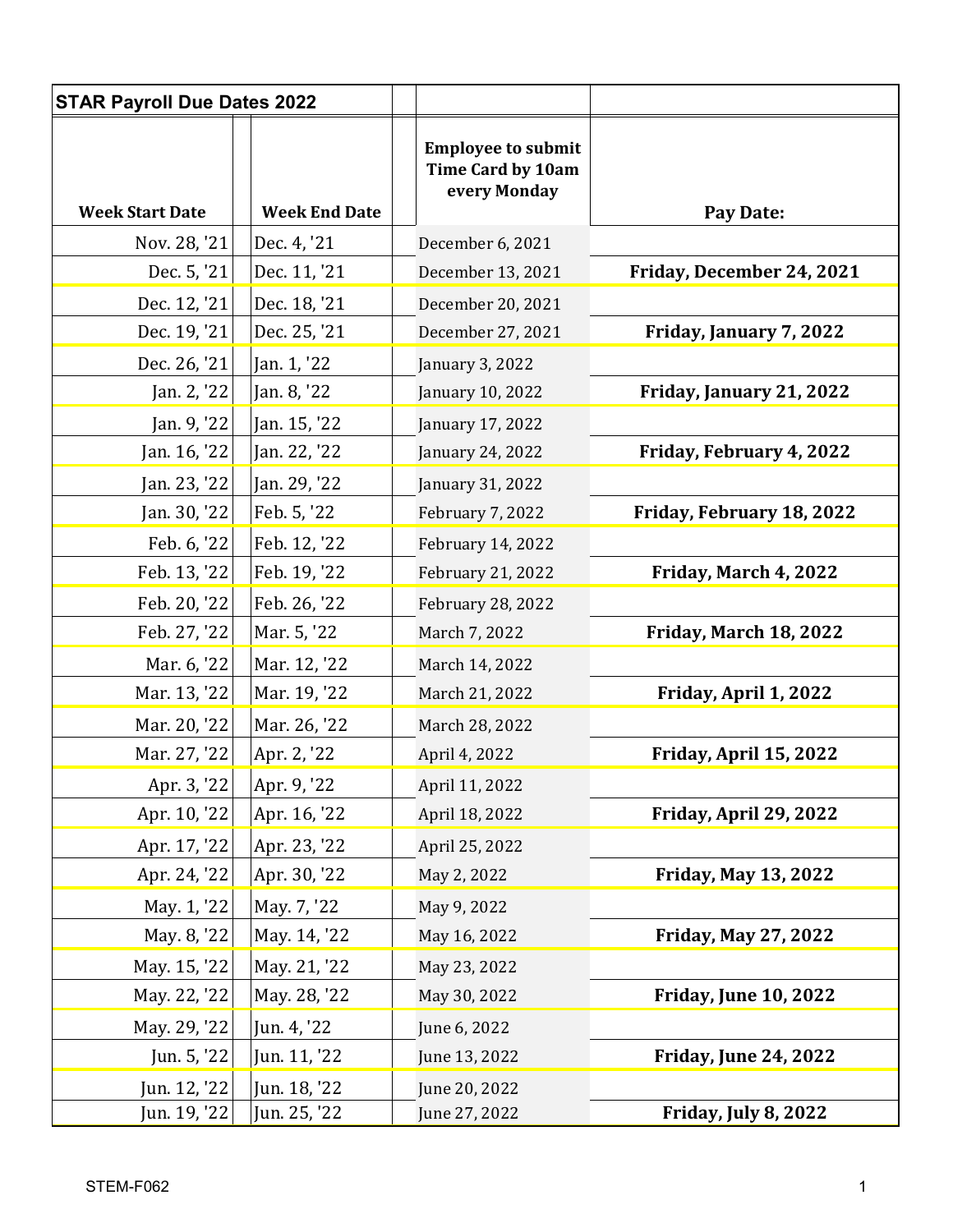| <b>STAR Payroll Due Dates 2022</b> |                              |                                                                       |                              |
|------------------------------------|------------------------------|-----------------------------------------------------------------------|------------------------------|
| <b>Week Start Date</b>             | <b>Week End Date</b>         | <b>Employee to submit</b><br><b>Time Card by 10am</b><br>every Monday | Pay Date:                    |
| Nov. 28, '21                       | Dec. 4, '21                  | December 6, 2021                                                      |                              |
| Dec. 5, '21                        | Dec. 11, '21                 | December 13, 2021                                                     | Friday, December 24, 2021    |
| Dec. 12, '21                       | Dec. 18, '21                 | December 20, 2021                                                     |                              |
| Dec. 19, '21                       | Dec. 25, '21                 | December 27, 2021                                                     | Friday, January 7, 2022      |
| Dec. 26, '21                       | Jan. 1, '22                  | January 3, 2022                                                       |                              |
| Jan. 2, '22                        | Jan. 8, '22                  | January 10, 2022                                                      | Friday, January 21, 2022     |
| Jan. 9, '22                        | Jan. 15, '22                 | January 17, 2022                                                      |                              |
| Jan. 16, '22                       | Jan. 22, '22                 | January 24, 2022                                                      | Friday, February 4, 2022     |
| Jan. 23, '22                       | Jan. 29, '22                 | January 31, 2022                                                      |                              |
| Jan. 30, '22                       | Feb. 5, '22                  | February 7, 2022                                                      | Friday, February 18, 2022    |
| Feb. 6, '22                        | Feb. 12, '22                 | February 14, 2022                                                     |                              |
| Feb. 13, '22                       | Feb. 19, '22                 | February 21, 2022                                                     | Friday, March 4, 2022        |
| Feb. 20, '22                       | Feb. 26, '22                 | February 28, 2022                                                     |                              |
| Feb. 27, '22                       | Mar. 5, '22                  | March 7, 2022                                                         | Friday, March 18, 2022       |
| Mar. 6, '22                        | Mar. 12, '22                 | March 14, 2022                                                        |                              |
| Mar. 13, '22                       | Mar. 19, '22                 | March 21, 2022                                                        | Friday, April 1, 2022        |
| Mar. 20, '22                       | Mar. 26, '22                 | March 28, 2022                                                        |                              |
| Mar. 27, '22                       | Apr. 2, '22                  | April 4, 2022                                                         | Friday, April 15, 2022       |
| Apr. 3, '22                        | Apr. 9, '22                  | April 11, 2022                                                        |                              |
| Apr. 10, '22                       | Apr. 16, '22                 | April 18, 2022                                                        | Friday, April 29, 2022       |
| Apr. 17, '22                       | Apr. 23, '22                 | April 25, 2022                                                        |                              |
| Apr. 24, '22                       | Apr. 30, '22                 | May 2, 2022                                                           | <b>Friday, May 13, 2022</b>  |
| May. 1, '22                        | May. 7, '22                  | May 9, 2022                                                           |                              |
| May. 8, '22                        | May. 14, '22                 | May 16, 2022                                                          | <b>Friday, May 27, 2022</b>  |
| May. 15, '22                       | May. 21, '22                 | May 23, 2022                                                          |                              |
| May. 22, '22                       | May. 28, '22                 | May 30, 2022                                                          | <b>Friday, June 10, 2022</b> |
| May. 29, '22                       | Jun. 4, '22                  | June 6, 2022                                                          |                              |
| Jun. 5, '22                        | Jun. 11, '22                 | June 13, 2022                                                         | <b>Friday, June 24, 2022</b> |
| Jun. 12, '22<br>Jun. 19, '22       | Jun. 18, '22<br>Jun. 25, '22 | June 20, 2022<br>June 27, 2022                                        | Friday, July 8, 2022         |